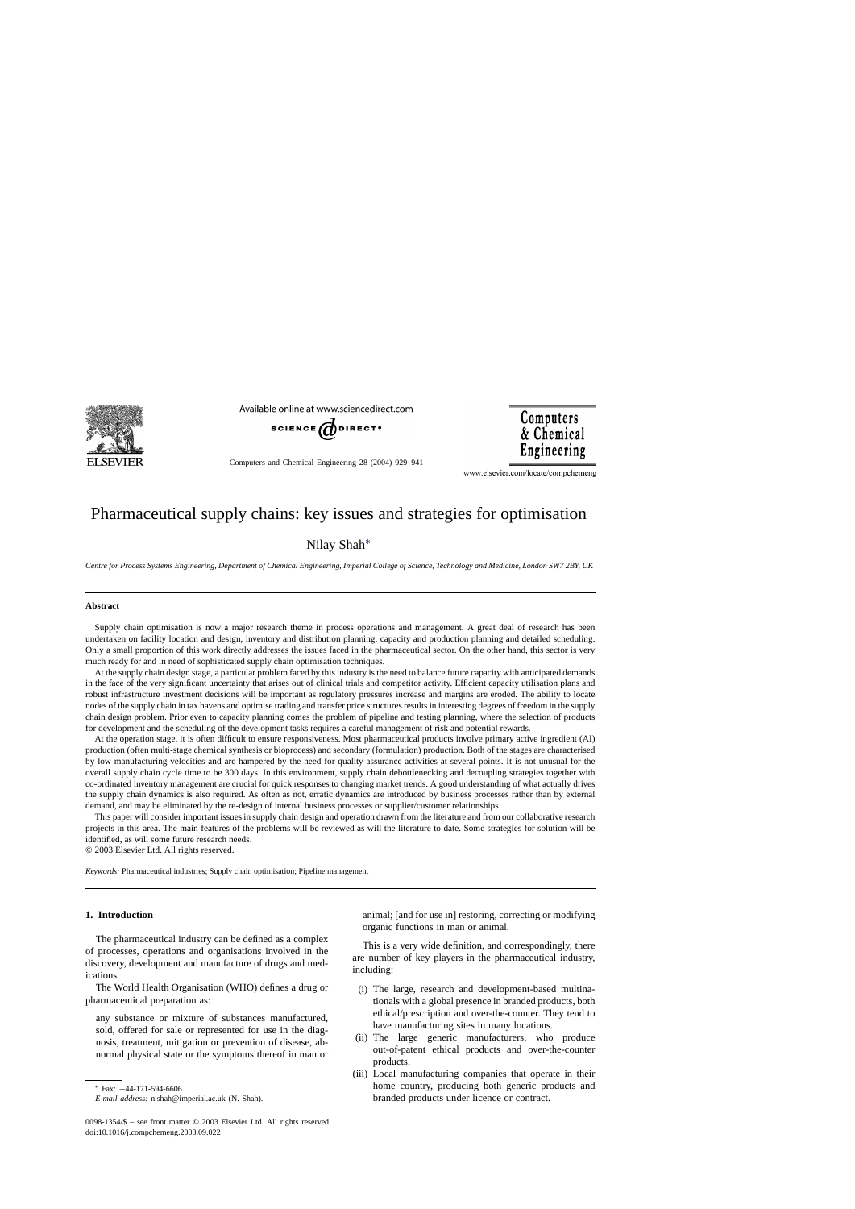

Available online at www.sciencedirect.com





Computers and Chemical Engineering 28 (2004) 929–941

www.elsevier.com/locate/compchemeng

# Pharmaceutical supply chains: key issues and strategies for optimisation

Nilay Shah<sup>∗</sup>

*Centre for Process Systems Engineering, Department of Chemical Engineering, Imperial College of Science, Technology and Medicine, London SW7 2BY, UK*

#### **Abstract**

Supply chain optimisation is now a major research theme in process operations and management. A great deal of research has been undertaken on facility location and design, inventory and distribution planning, capacity and production planning and detailed scheduling. Only a small proportion of this work directly addresses the issues faced in the pharmaceutical sector. On the other hand, this sector is very much ready for and in need of sophisticated supply chain optimisation techniques.

At the supply chain design stage, a particular problem faced by this industry is the need to balance future capacity with anticipated demands in the face of the very significant uncertainty that arises out of clinical trials and competitor activity. Efficient capacity utilisation plans and robust infrastructure investment decisions will be important as regulatory pressures increase and margins are eroded. The ability to locate nodes of the supply chain in tax havens and optimise trading and transfer price structures results in interesting degrees of freedom in the supply chain design problem. Prior even to capacity planning comes the problem of pipeline and testing planning, where the selection of products for development and the scheduling of the development tasks requires a careful management of risk and potential rewards.

At the operation stage, it is often difficult to ensure responsiveness. Most pharmaceutical products involve primary active ingredient (AI) production (often multi-stage chemical synthesis or bioprocess) and secondary (formulation) production. Both of the stages are characterised by low manufacturing velocities and are hampered by the need for quality assurance activities at several points. It is not unusual for the overall supply chain cycle time to be 300 days. In this environment, supply chain debottlenecking and decoupling strategies together with co-ordinated inventory management are crucial for quick responses to changing market trends. A good understanding of what actually drives the supply chain dynamics is also required. As often as not, erratic dynamics are introduced by business processes rather than by external demand, and may be eliminated by the re-design of internal business processes or supplier/customer relationships.

This paper will consider important issues in supply chain design and operation drawn from the literature and from our collaborative research projects in this area. The main features of the problems will be reviewed as will the literature to date. Some strategies for solution will be identified, as will some future research needs.

© 2003 Elsevier Ltd. All rights reserved.

*Keywords:* Pharmaceutical industries; Supply chain optimisation; Pipeline management

## **1. Introduction**

The pharmaceutical industry can be defined as a complex of processes, operations and organisations involved in the discovery, development and manufacture of drugs and medications.

The World Health Organisation (WHO) defines a drug or pharmaceutical preparation as:

any substance or mixture of substances manufactured, sold, offered for sale or represented for use in the diagnosis, treatment, mitigation or prevention of disease, abnormal physical state or the symptoms thereof in man or animal; [and for use in] restoring, correcting or modifying organic functions in man or animal.

This is a very wide definition, and correspondingly, there are number of key players in the pharmaceutical industry, including:

- (i) The large, research and development-based multinationals with a global presence in branded products, both ethical/prescription and over-the-counter. They tend to have manufacturing sites in many locations.
- (ii) The large generic manufacturers, who produce out-of-patent ethical products and over-the-counter products.
- (iii) Local manufacturing companies that operate in their home country, producing both generic products and branded products under licence or contract.

<sup>∗</sup> Fax: +44-171-594-6606.

*E-mail address:* n.shah@imperial.ac.uk (N. Shah).

<sup>0098-1354/\$ –</sup> see front matter © 2003 Elsevier Ltd. All rights reserved. doi:10.1016/j.compchemeng.2003.09.022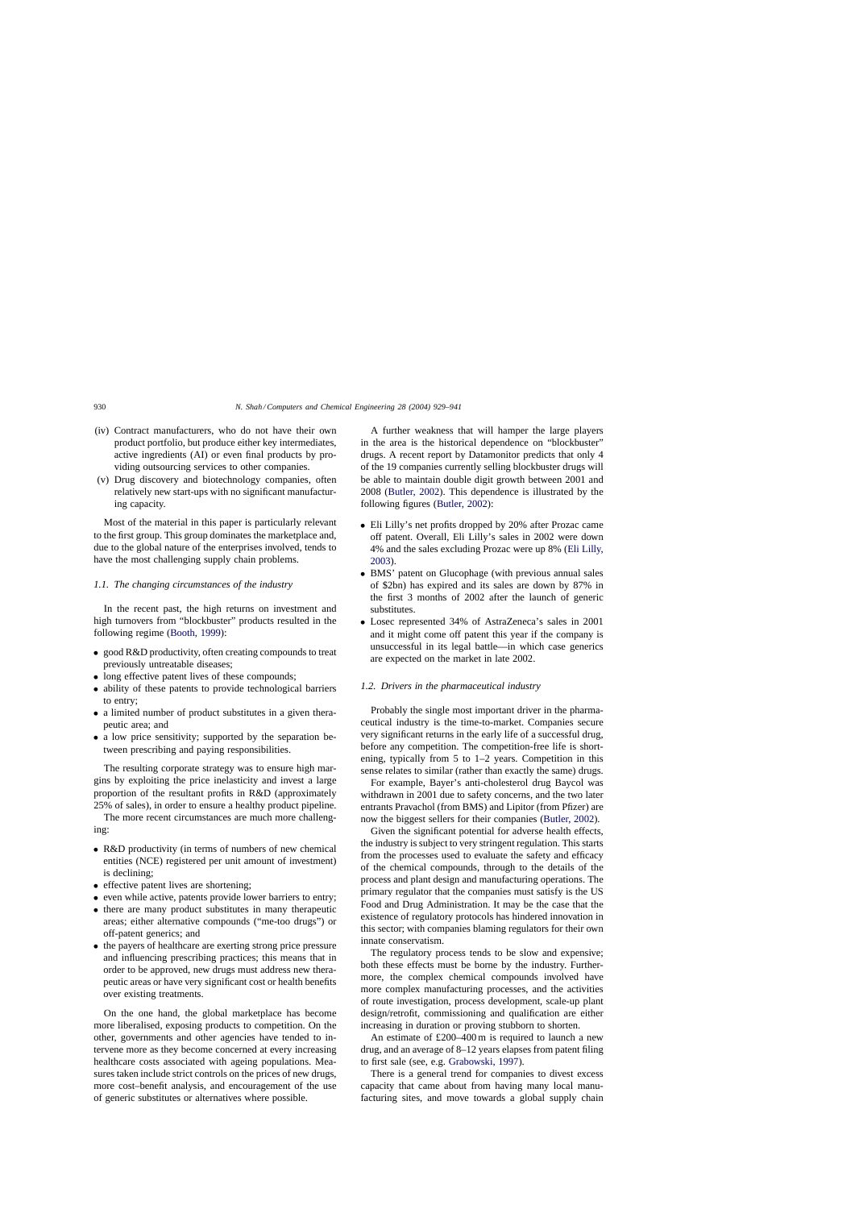- (iv) Contract manufacturers, who do not have their own product portfolio, but produce either key intermediates, active ingredients (AI) or even final products by providing outsourcing services to other companies.
- (v) Drug discovery and biotechnology companies, often relatively new start-ups with no significant manufacturing capacity.

Most of the material in this paper is particularly relevant to the first group. This group dominates the marketplace and, due to the global nature of the enterprises involved, tends to have the most challenging supply chain problems.

## *1.1. The changing circumstances of the industry*

In the recent past, the high returns on investment and high turnovers from "blockbuster" products resulted in the following regime ([Booth, 1999\):](#page-11-0)

- good R&D productivity, often creating compounds to treat previously untreatable diseases;
- long effective patent lives of these compounds;
- ability of these patents to provide technological barriers to entry;
- a limited number of product substitutes in a given therapeutic area; and
- a low price sensitivity; supported by the separation between prescribing and paying responsibilities.

The resulting corporate strategy was to ensure high margins by exploiting the price inelasticity and invest a large proportion of the resultant profits in R&D (approximately 25% of sales), in order to ensure a healthy product pipeline.

The more recent circumstances are much more challenging:

- R&D productivity (in terms of numbers of new chemical entities (NCE) registered per unit amount of investment) is declining;
- effective patent lives are shortening;
- even while active, patents provide lower barriers to entry;
- there are many product substitutes in many therapeutic areas; either alternative compounds ("me-too drugs") or off-patent generics; and
- the payers of healthcare are exerting strong price pressure and influencing prescribing practices; this means that in order to be approved, new drugs must address new therapeutic areas or have very significant cost or health benefits over existing treatments.

On the one hand, the global marketplace has become more liberalised, exposing products to competition. On the other, governments and other agencies have tended to intervene more as they become concerned at every increasing healthcare costs associated with ageing populations. Measures taken include strict controls on the prices of new drugs, more cost–benefit analysis, and encouragement of the use of generic substitutes or alternatives where possible.

A further weakness that will hamper the large players in the area is the historical dependence on "blockbuster" drugs. A recent report by Datamonitor predicts that only 4 of the 19 companies currently selling blockbuster drugs will be able to maintain double digit growth between 2001 and 2008 [\(Butler, 2002\).](#page-11-0) This dependence is illustrated by the following figures [\(Butler, 2002\):](#page-11-0)

- Eli Lilly's net profits dropped by 20% after Prozac came off patent. Overall, Eli Lilly's sales in 2002 were down 4% and the sales excluding Prozac were up 8% [\(Eli Lilly,](#page-11-0) [2003\).](#page-11-0)
- BMS' patent on Glucophage (with previous annual sales of \$2bn) has expired and its sales are down by 87% in the first 3 months of 2002 after the launch of generic substitutes.
- Losec represented 34% of AstraZeneca's sales in 2001 and it might come off patent this year if the company is unsuccessful in its legal battle—in which case generics are expected on the market in late 2002.

#### *1.2. Drivers in the pharmaceutical industry*

Probably the single most important driver in the pharmaceutical industry is the time-to-market. Companies secure very significant returns in the early life of a successful drug, before any competition. The competition-free life is shortening, typically from 5 to 1–2 years. Competition in this sense relates to similar (rather than exactly the same) drugs.

For example, Bayer's anti-cholesterol drug Baycol was withdrawn in 2001 due to safety concerns, and the two later entrants Pravachol (from BMS) and Lipitor (from Pfizer) are now the biggest sellers for their companies ([Butler, 2002\).](#page-11-0)

Given the significant potential for adverse health effects, the industry is subject to very stringent regulation. This starts from the processes used to evaluate the safety and efficacy of the chemical compounds, through to the details of the process and plant design and manufacturing operations. The primary regulator that the companies must satisfy is the US Food and Drug Administration. It may be the case that the existence of regulatory protocols has hindered innovation in this sector; with companies blaming regulators for their own innate conservatism.

The regulatory process tends to be slow and expensive; both these effects must be borne by the industry. Furthermore, the complex chemical compounds involved have more complex manufacturing processes, and the activities of route investigation, process development, scale-up plant design/retrofit, commissioning and qualification are either increasing in duration or proving stubborn to shorten.

An estimate of £200–400 m is required to launch a new drug, and an average of 8–12 years elapses from patent filing to first sale (see, e.g. [Grabowski, 1997\).](#page-11-0)

There is a general trend for companies to divest excess capacity that came about from having many local manufacturing sites, and move towards a global supply chain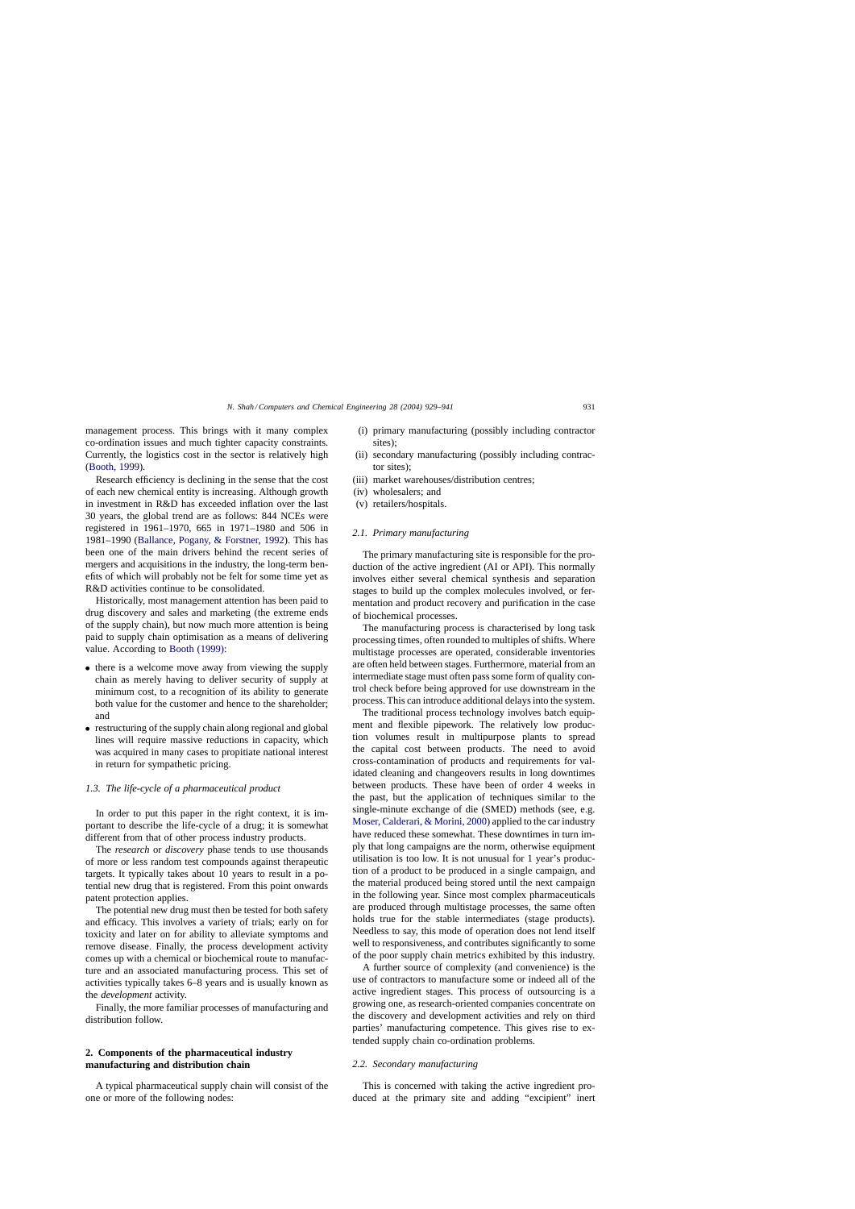management process. This brings with it many complex co-ordination issues and much tighter capacity constraints. Currently, the logistics cost in the sector is relatively high ([Booth, 1999\).](#page-11-0)

Research efficiency is declining in the sense that the cost of each new chemical entity is increasing. Although growth in investment in R&D has exceeded inflation over the last 30 years, the global trend are as follows: 844 NCEs were registered in 1961–1970, 665 in 1971–1980 and 506 in 1981–1990 ([Ballance, Pogany, & Forstner, 1992\).](#page-11-0) This has been one of the main drivers behind the recent series of mergers and acquisitions in the industry, the long-term benefits of which will probably not be felt for some time yet as R&D activities continue to be consolidated.

Historically, most management attention has been paid to drug discovery and sales and marketing (the extreme ends of the supply chain), but now much more attention is being paid to supply chain optimisation as a means of delivering value. According to [Booth \(1999\):](#page-11-0)

- there is a welcome move away from viewing the supply chain as merely having to deliver security of supply at minimum cost, to a recognition of its ability to generate both value for the customer and hence to the shareholder; and
- restructuring of the supply chain along regional and global lines will require massive reductions in capacity, which was acquired in many cases to propitiate national interest in return for sympathetic pricing.

## *1.3. The life-cycle of a pharmaceutical product*

In order to put this paper in the right context, it is important to describe the life-cycle of a drug; it is somewhat different from that of other process industry products.

The *research* or *discovery* phase tends to use thousands of more or less random test compounds against therapeutic targets. It typically takes about 10 years to result in a potential new drug that is registered. From this point onwards patent protection applies.

The potential new drug must then be tested for both safety and efficacy. This involves a variety of trials; early on for toxicity and later on for ability to alleviate symptoms and remove disease. Finally, the process development activity comes up with a chemical or biochemical route to manufacture and an associated manufacturing process. This set of activities typically takes 6–8 years and is usually known as the *development* activity.

Finally, the more familiar processes of manufacturing and distribution follow.

# **2. Components of the pharmaceutical industry manufacturing and distribution chain**

A typical pharmaceutical supply chain will consist of the one or more of the following nodes:

- (i) primary manufacturing (possibly including contractor sites);
- (ii) secondary manufacturing (possibly including contractor sites);
- (iii) market warehouses/distribution centres;
- (iv) wholesalers; and
- (v) retailers/hospitals.

## *2.1. Primary manufacturing*

The primary manufacturing site is responsible for the production of the active ingredient (AI or API). This normally involves either several chemical synthesis and separation stages to build up the complex molecules involved, or fermentation and product recovery and purification in the case of biochemical processes.

The manufacturing process is characterised by long task processing times, often rounded to multiples of shifts. Where multistage processes are operated, considerable inventories are often held between stages. Furthermore, material from an intermediate stage must often pass some form of quality control check before being approved for use downstream in the process. This can introduce additional delays into the system.

The traditional process technology involves batch equipment and flexible pipework. The relatively low production volumes result in multipurpose plants to spread the capital cost between products. The need to avoid cross-contamination of products and requirements for validated cleaning and changeovers results in long downtimes between products. These have been of order 4 weeks in the past, but the application of techniques similar to the single-minute exchange of die (SMED) methods (see, e.g. [Moser, Calderari, & Morini, 2000\) a](#page-11-0)pplied to the car industry have reduced these somewhat. These downtimes in turn imply that long campaigns are the norm, otherwise equipment utilisation is too low. It is not unusual for 1 year's production of a product to be produced in a single campaign, and the material produced being stored until the next campaign in the following year. Since most complex pharmaceuticals are produced through multistage processes, the same often holds true for the stable intermediates (stage products). Needless to say, this mode of operation does not lend itself well to responsiveness, and contributes significantly to some of the poor supply chain metrics exhibited by this industry.

A further source of complexity (and convenience) is the use of contractors to manufacture some or indeed all of the active ingredient stages. This process of outsourcing is a growing one, as research-oriented companies concentrate on the discovery and development activities and rely on third parties' manufacturing competence. This gives rise to extended supply chain co-ordination problems.

# *2.2. Secondary manufacturing*

This is concerned with taking the active ingredient produced at the primary site and adding "excipient" inert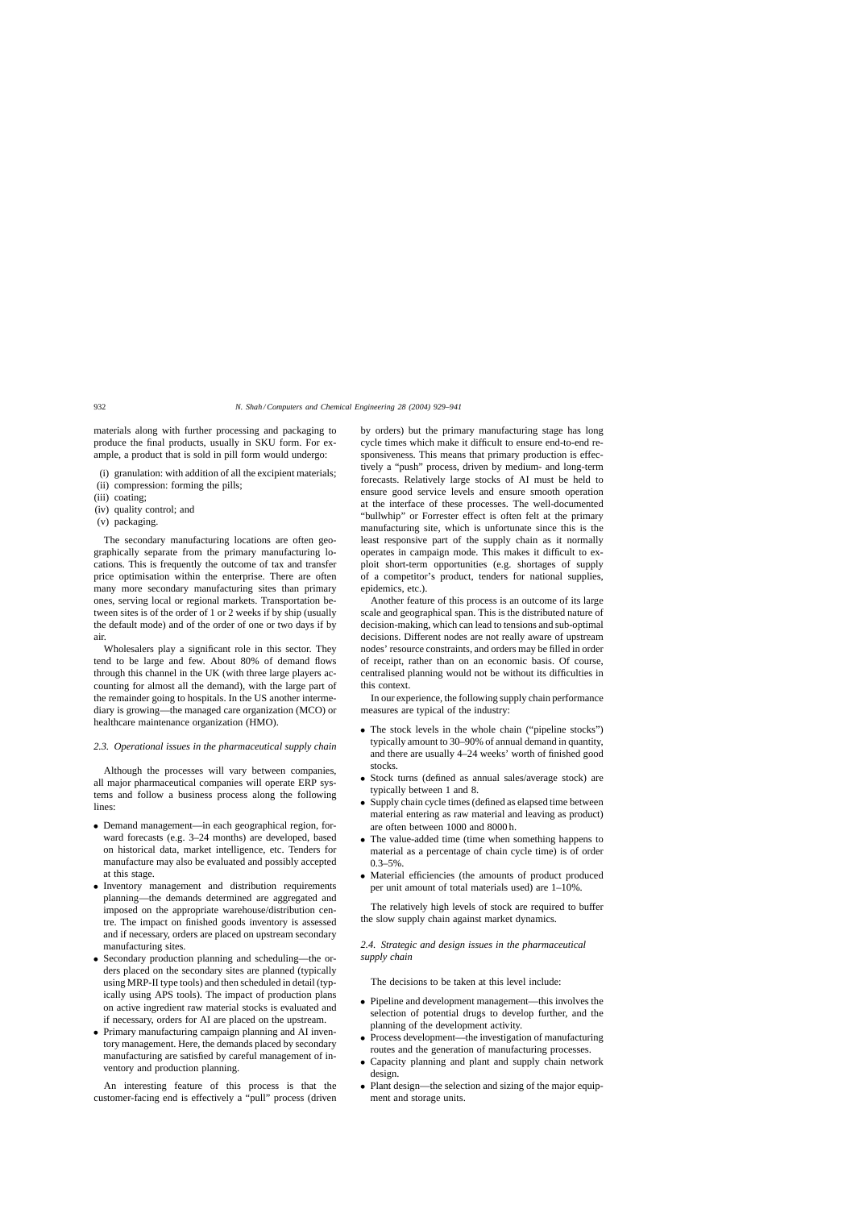materials along with further processing and packaging to produce the final products, usually in SKU form. For example, a product that is sold in pill form would undergo:

- (i) granulation: with addition of all the excipient materials;
- (ii) compression: forming the pills;
- (iii) coating;
- (iv) quality control; and
- (v) packaging.

The secondary manufacturing locations are often geographically separate from the primary manufacturing locations. This is frequently the outcome of tax and transfer price optimisation within the enterprise. There are often many more secondary manufacturing sites than primary ones, serving local or regional markets. Transportation between sites is of the order of 1 or 2 weeks if by ship (usually the default mode) and of the order of one or two days if by air.

Wholesalers play a significant role in this sector. They tend to be large and few. About 80% of demand flows through this channel in the UK (with three large players accounting for almost all the demand), with the large part of the remainder going to hospitals. In the US another intermediary is growing—the managed care organization (MCO) or healthcare maintenance organization (HMO).

# *2.3. Operational issues in the pharmaceutical supply chain*

Although the processes will vary between companies, all major pharmaceutical companies will operate ERP systems and follow a business process along the following lines:

- Demand management—in each geographical region, forward forecasts (e.g. 3–24 months) are developed, based on historical data, market intelligence, etc. Tenders for manufacture may also be evaluated and possibly accepted at this stage.
- Inventory management and distribution requirements planning—the demands determined are aggregated and imposed on the appropriate warehouse/distribution centre. The impact on finished goods inventory is assessed and if necessary, orders are placed on upstream secondary manufacturing sites.
- Secondary production planning and scheduling—the orders placed on the secondary sites are planned (typically using MRP-II type tools) and then scheduled in detail (typically using APS tools). The impact of production plans on active ingredient raw material stocks is evaluated and if necessary, orders for AI are placed on the upstream.
- Primary manufacturing campaign planning and AI inventory management. Here, the demands placed by secondary manufacturing are satisfied by careful management of inventory and production planning.

An interesting feature of this process is that the customer-facing end is effectively a "pull" process (driven

by orders) but the primary manufacturing stage has long cycle times which make it difficult to ensure end-to-end responsiveness. This means that primary production is effectively a "push" process, driven by medium- and long-term forecasts. Relatively large stocks of AI must be held to ensure good service levels and ensure smooth operation at the interface of these processes. The well-documented "bullwhip" or Forrester effect is often felt at the primary manufacturing site, which is unfortunate since this is the least responsive part of the supply chain as it normally operates in campaign mode. This makes it difficult to exploit short-term opportunities (e.g. shortages of supply of a competitor's product, tenders for national supplies, epidemics, etc.).

Another feature of this process is an outcome of its large scale and geographical span. This is the distributed nature of decision-making, which can lead to tensions and sub-optimal decisions. Different nodes are not really aware of upstream nodes' resource constraints, and orders may be filled in order of receipt, rather than on an economic basis. Of course, centralised planning would not be without its difficulties in this context.

In our experience, the following supply chain performance measures are typical of the industry:

- The stock levels in the whole chain ("pipeline stocks") typically amount to 30–90% of annual demand in quantity, and there are usually 4–24 weeks' worth of finished good stocks.
- Stock turns (defined as annual sales/average stock) are typically between 1 and 8.
- Supply chain cycle times (defined as elapsed time between material entering as raw material and leaving as product) are often between 1000 and 8000 h.
- The value-added time (time when something happens to material as a percentage of chain cycle time) is of order  $0.3 - 5\%$ .
- Material efficiencies (the amounts of product produced per unit amount of total materials used) are 1–10%.

The relatively high levels of stock are required to buffer the slow supply chain against market dynamics.

# *2.4. Strategic and design issues in the pharmaceutical supply chain*

The decisions to be taken at this level include:

- Pipeline and development management—this involves the selection of potential drugs to develop further, and the planning of the development activity.
- Process development—the investigation of manufacturing routes and the generation of manufacturing processes.
- Capacity planning and plant and supply chain network design.
- Plant design—the selection and sizing of the major equipment and storage units.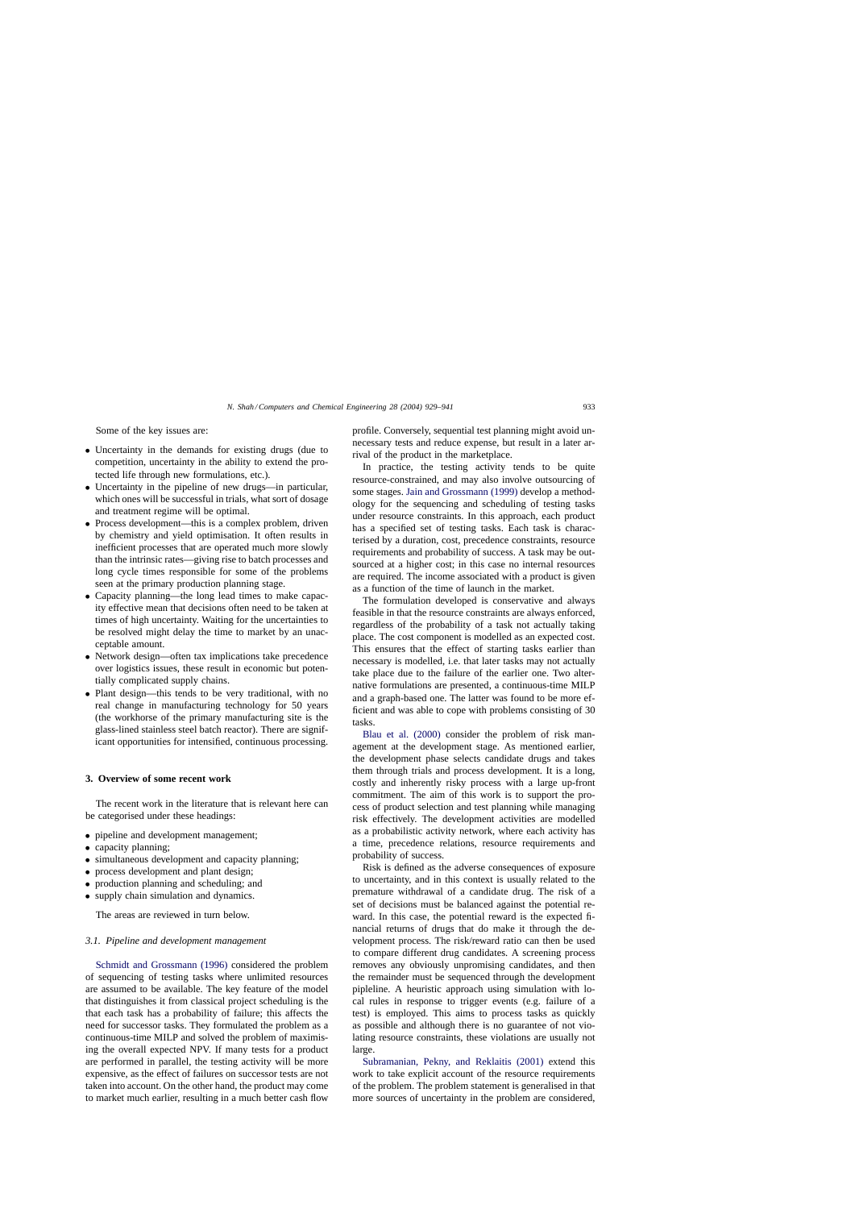Some of the key issues are:

- Uncertainty in the demands for existing drugs (due to competition, uncertainty in the ability to extend the protected life through new formulations, etc.).
- Uncertainty in the pipeline of new drugs—in particular, which ones will be successful in trials, what sort of dosage and treatment regime will be optimal.
- Process development—this is a complex problem, driven by chemistry and yield optimisation. It often results in inefficient processes that are operated much more slowly than the intrinsic rates—giving rise to batch processes and long cycle times responsible for some of the problems seen at the primary production planning stage.
- Capacity planning—the long lead times to make capacity effective mean that decisions often need to be taken at times of high uncertainty. Waiting for the uncertainties to be resolved might delay the time to market by an unacceptable amount.
- Network design—often tax implications take precedence over logistics issues, these result in economic but potentially complicated supply chains.
- Plant design—this tends to be very traditional, with no real change in manufacturing technology for 50 years (the workhorse of the primary manufacturing site is the glass-lined stainless steel batch reactor). There are significant opportunities for intensified, continuous processing.

### **3. Overview of some recent work**

The recent work in the literature that is relevant here can be categorised under these headings:

- pipeline and development management;
- capacity planning;
- simultaneous development and capacity planning;
- process development and plant design;
- production planning and scheduling; and
- supply chain simulation and dynamics.

The areas are reviewed in turn below.

#### *3.1. Pipeline and development management*

[Schmidt and Grossmann \(1996\)](#page-12-0) considered the problem of sequencing of testing tasks where unlimited resources are assumed to be available. The key feature of the model that distinguishes it from classical project scheduling is the that each task has a probability of failure; this affects the need for successor tasks. They formulated the problem as a continuous-time MILP and solved the problem of maximising the overall expected NPV. If many tests for a product are performed in parallel, the testing activity will be more expensive, as the effect of failures on successor tests are not taken into account. On the other hand, the product may come to market much earlier, resulting in a much better cash flow

profile. Conversely, sequential test planning might avoid unnecessary tests and reduce expense, but result in a later arrival of the product in the marketplace.

In practice, the testing activity tends to be quite resource-constrained, and may also involve outsourcing of some stages. [Jain and Grossmann \(1999\)](#page-11-0) develop a methodology for the sequencing and scheduling of testing tasks under resource constraints. In this approach, each product has a specified set of testing tasks. Each task is characterised by a duration, cost, precedence constraints, resource requirements and probability of success. A task may be outsourced at a higher cost; in this case no internal resources are required. The income associated with a product is given as a function of the time of launch in the market.

The formulation developed is conservative and always feasible in that the resource constraints are always enforced, regardless of the probability of a task not actually taking place. The cost component is modelled as an expected cost. This ensures that the effect of starting tasks earlier than necessary is modelled, i.e. that later tasks may not actually take place due to the failure of the earlier one. Two alternative formulations are presented, a continuous-time MILP and a graph-based one. The latter was found to be more efficient and was able to cope with problems consisting of 30 tasks.

[Blau et al. \(2000\)](#page-11-0) consider the problem of risk management at the development stage. As mentioned earlier, the development phase selects candidate drugs and takes them through trials and process development. It is a long, costly and inherently risky process with a large up-front commitment. The aim of this work is to support the process of product selection and test planning while managing risk effectively. The development activities are modelled as a probabilistic activity network, where each activity has a time, precedence relations, resource requirements and probability of success.

Risk is defined as the adverse consequences of exposure to uncertainty, and in this context is usually related to the premature withdrawal of a candidate drug. The risk of a set of decisions must be balanced against the potential reward. In this case, the potential reward is the expected financial returns of drugs that do make it through the development process. The risk/reward ratio can then be used to compare different drug candidates. A screening process removes any obviously unpromising candidates, and then the remainder must be sequenced through the development pipleline. A heuristic approach using simulation with local rules in response to trigger events (e.g. failure of a test) is employed. This aims to process tasks as quickly as possible and although there is no guarantee of not violating resource constraints, these violations are usually not large.

[Subramanian, Pekny, and Reklaitis \(2001](#page-12-0)) extend this work to take explicit account of the resource requirements of the problem. The problem statement is generalised in that more sources of uncertainty in the problem are considered,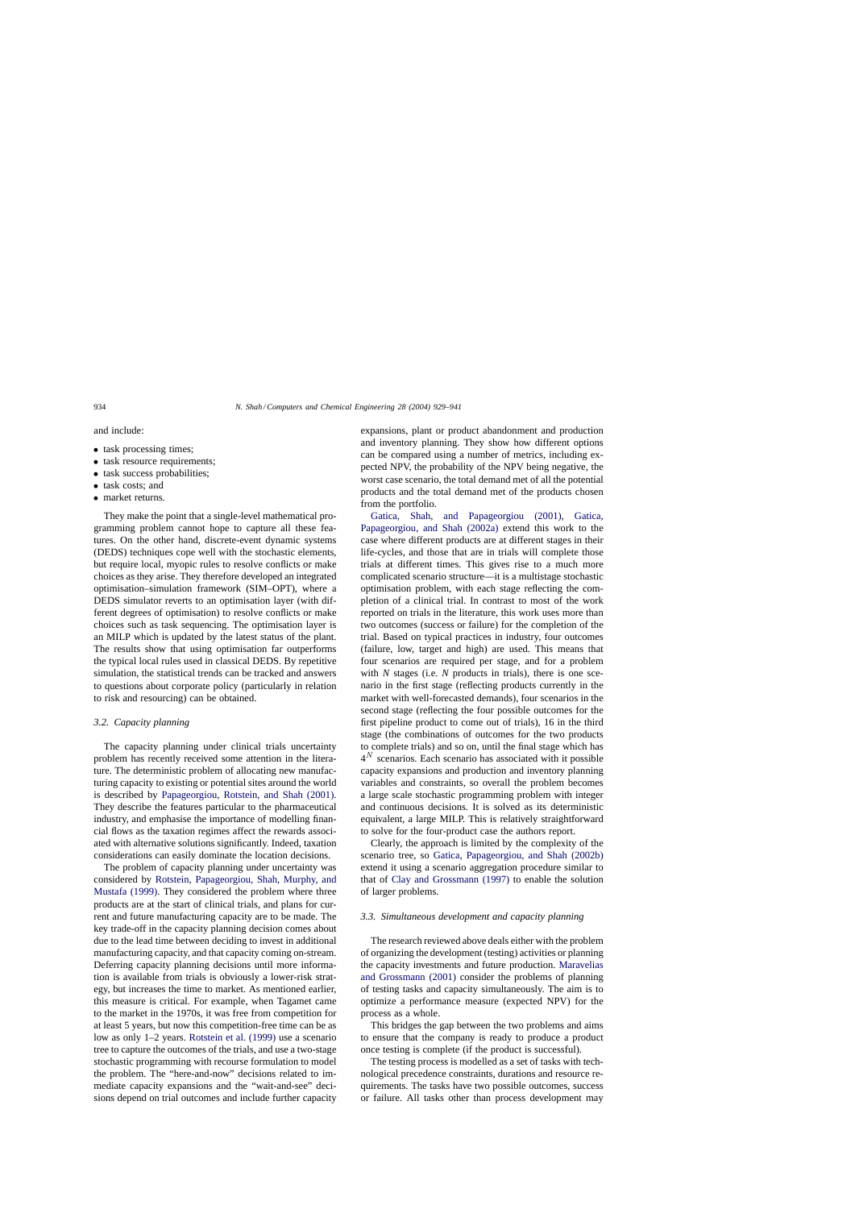and include:

- task processing times:
- task resource requirements:
- task success probabilities;
- task costs; and
- market returns.

They make the point that a single-level mathematical programming problem cannot hope to capture all these features. On the other hand, discrete-event dynamic systems (DEDS) techniques cope well with the stochastic elements, but require local, myopic rules to resolve conflicts or make choices as they arise. They therefore developed an integrated optimisation–simulation framework (SIM–OPT), where a DEDS simulator reverts to an optimisation layer (with different degrees of optimisation) to resolve conflicts or make choices such as task sequencing. The optimisation layer is an MILP which is updated by the latest status of the plant. The results show that using optimisation far outperforms the typical local rules used in classical DEDS. By repetitive simulation, the statistical trends can be tracked and answers to questions about corporate policy (particularly in relation to risk and resourcing) can be obtained.

#### *3.2. Capacity planning*

The capacity planning under clinical trials uncertainty problem has recently received some attention in the literature. The deterministic problem of allocating new manufacturing capacity to existing or potential sites around the world is described by [Papageorgiou, Rotstein, and Shah \(2001\).](#page-12-0) They describe the features particular to the pharmaceutical industry, and emphasise the importance of modelling financial flows as the taxation regimes affect the rewards associated with alternative solutions significantly. Indeed, taxation considerations can easily dominate the location decisions.

The problem of capacity planning under uncertainty was considered by [Rotstein, Papageorgiou, Shah, Murphy, and](#page-12-0) [Mustafa \(1999\).](#page-12-0) They considered the problem where three products are at the start of clinical trials, and plans for current and future manufacturing capacity are to be made. The key trade-off in the capacity planning decision comes about due to the lead time between deciding to invest in additional manufacturing capacity, and that capacity coming on-stream. Deferring capacity planning decisions until more information is available from trials is obviously a lower-risk strategy, but increases the time to market. As mentioned earlier, this measure is critical. For example, when Tagamet came to the market in the 1970s, it was free from competition for at least 5 years, but now this competition-free time can be as low as only 1–2 years. [Rotstein et al. \(1999\)](#page-12-0) use a scenario tree to capture the outcomes of the trials, and use a two-stage stochastic programming with recourse formulation to model the problem. The "here-and-now" decisions related to immediate capacity expansions and the "wait-and-see" decisions depend on trial outcomes and include further capacity expansions, plant or product abandonment and production and inventory planning. They show how different options can be compared using a number of metrics, including expected NPV, the probability of the NPV being negative, the worst case scenario, the total demand met of all the potential products and the total demand met of the products chosen from the portfolio.

[Gatica, Shah, and Papageorgiou \(](#page-11-0)2001), [Gatica,](#page-11-0) [Papageorgiou, and Shah \(2002a\)](#page-11-0) extend this work to the case where different products are at different stages in their life-cycles, and those that are in trials will complete those trials at different times. This gives rise to a much more complicated scenario structure—it is a multistage stochastic optimisation problem, with each stage reflecting the completion of a clinical trial. In contrast to most of the work reported on trials in the literature, this work uses more than two outcomes (success or failure) for the completion of the trial. Based on typical practices in industry, four outcomes (failure, low, target and high) are used. This means that four scenarios are required per stage, and for a problem with *N* stages (i.e. *N* products in trials), there is one scenario in the first stage (reflecting products currently in the market with well-forecasted demands), four scenarios in the second stage (reflecting the four possible outcomes for the first pipeline product to come out of trials), 16 in the third stage (the combinations of outcomes for the two products to complete trials) and so on, until the final stage which has  $4<sup>N</sup>$  scenarios. Each scenario has associated with it possible capacity expansions and production and inventory planning variables and constraints, so overall the problem becomes a large scale stochastic programming problem with integer and continuous decisions. It is solved as its deterministic equivalent, a large MILP. This is relatively straightforward to solve for the four-product case the authors report.

Clearly, the approach is limited by the complexity of the scenario tree, so [Gatica, Papageorgiou, and Shah \(2002b\)](#page-11-0) extend it using a scenario aggregation procedure similar to that of [Clay and Grossmann \(1997\)](#page-11-0) to enable the solution of larger problems.

## *3.3. Simultaneous development and capacity planning*

The research reviewed above deals either with the problem of organizing the development (testing) activities or planning the capacity investments and future production. [Maravelias](#page-11-0) [and Grossmann \(2001\)](#page-11-0) consider the problems of planning of testing tasks and capacity simultaneously. The aim is to optimize a performance measure (expected NPV) for the process as a whole.

This bridges the gap between the two problems and aims to ensure that the company is ready to produce a product once testing is complete (if the product is successful).

The testing process is modelled as a set of tasks with technological precedence constraints, durations and resource requirements. The tasks have two possible outcomes, success or failure. All tasks other than process development may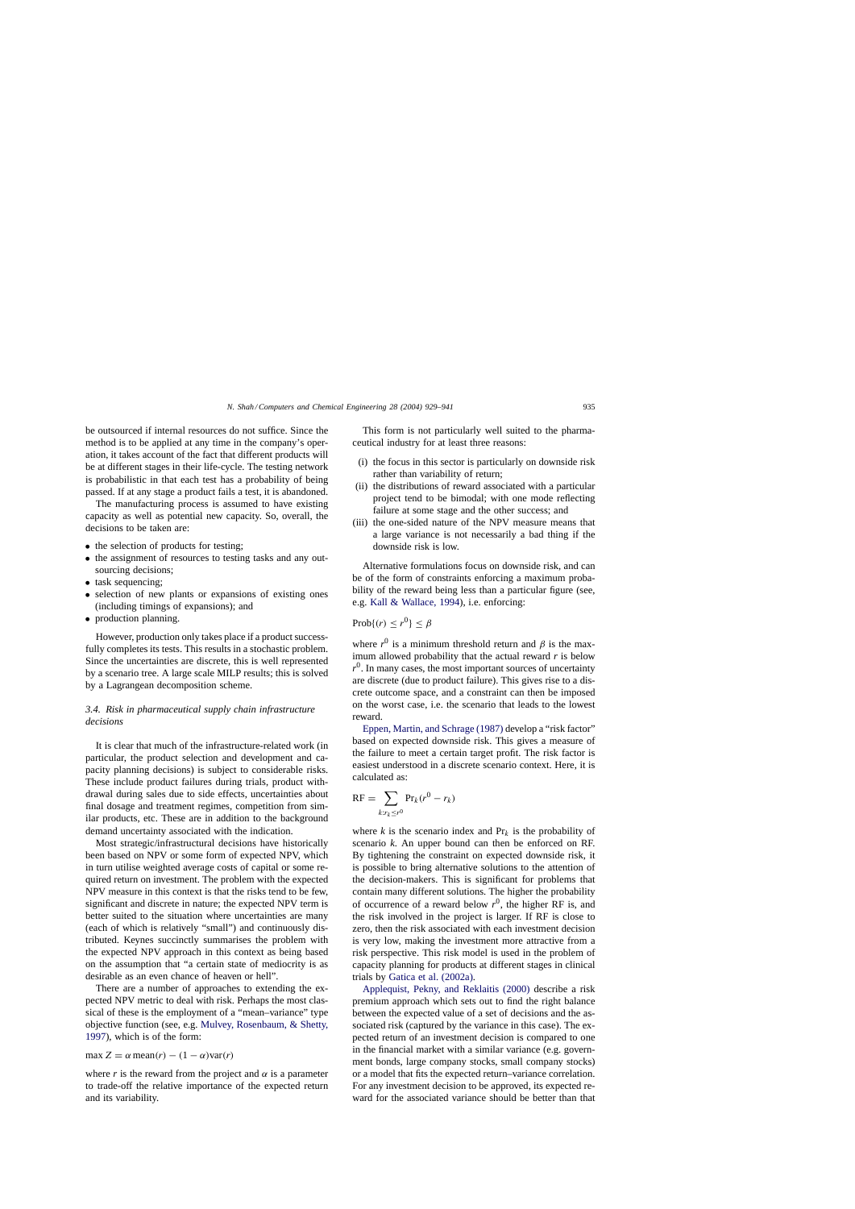be outsourced if internal resources do not suffice. Since the method is to be applied at any time in the company's operation, it takes account of the fact that different products will be at different stages in their life-cycle. The testing network is probabilistic in that each test has a probability of being passed. If at any stage a product fails a test, it is abandoned.

The manufacturing process is assumed to have existing capacity as well as potential new capacity. So, overall, the decisions to be taken are:

- the selection of products for testing;
- the assignment of resources to testing tasks and any outsourcing decisions;
- task sequencing;
- selection of new plants or expansions of existing ones (including timings of expansions); and
- production planning.

However, production only takes place if a product successfully completes its tests. This results in a stochastic problem. Since the uncertainties are discrete, this is well represented by a scenario tree. A large scale MILP results; this is solved by a Lagrangean decomposition scheme.

# *3.4. Risk in pharmaceutical supply chain infrastructure decisions*

It is clear that much of the infrastructure-related work (in particular, the product selection and development and capacity planning decisions) is subject to considerable risks. These include product failures during trials, product withdrawal during sales due to side effects, uncertainties about final dosage and treatment regimes, competition from similar products, etc. These are in addition to the background demand uncertainty associated with the indication.

Most strategic/infrastructural decisions have historically been based on NPV or some form of expected NPV, which in turn utilise weighted average costs of capital or some required return on investment. The problem with the expected NPV measure in this context is that the risks tend to be few, significant and discrete in nature; the expected NPV term is better suited to the situation where uncertainties are many (each of which is relatively "small") and continuously distributed. Keynes succinctly summarises the problem with the expected NPV approach in this context as being based on the assumption that "a certain state of mediocrity is as desirable as an even chance of heaven or hell".

There are a number of approaches to extending the expected NPV metric to deal with risk. Perhaps the most classical of these is the employment of a "mean–variance" type objective function (see, e.g. [Mulvey, Rosenbaum, & Shetty,](#page-11-0) [1997\),](#page-11-0) which is of the form:

max  $Z = \alpha \text{ mean}(r) - (1 - \alpha) \text{var}(r)$ 

where *r* is the reward from the project and  $\alpha$  is a parameter to trade-off the relative importance of the expected return and its variability.

This form is not particularly well suited to the pharmaceutical industry for at least three reasons:

- (i) the focus in this sector is particularly on downside risk rather than variability of return;
- (ii) the distributions of reward associated with a particular project tend to be bimodal; with one mode reflecting failure at some stage and the other success; and
- (iii) the one-sided nature of the NPV measure means that a large variance is not necessarily a bad thing if the downside risk is low.

Alternative formulations focus on downside risk, and can be of the form of constraints enforcing a maximum probability of the reward being less than a particular figure (see, e.g. [Kall & Wallace, 1994\),](#page-11-0) i.e. enforcing:

$$
Prob\{(r) \le r^0\} \le \beta
$$

where  $r^0$  is a minimum threshold return and  $\beta$  is the maximum allowed probability that the actual reward *r* is below  $r<sup>0</sup>$ . In many cases, the most important sources of uncertainty are discrete (due to product failure). This gives rise to a discrete outcome space, and a constraint can then be imposed on the worst case, i.e. the scenario that leads to the lowest reward.

[Eppen, Martin, and Schrage \(1987\)](#page-11-0) develop a "risk factor" based on expected downside risk. This gives a measure of the failure to meet a certain target profit. The risk factor is easiest understood in a discrete scenario context. Here, it is calculated as:

$$
RF = \sum_{k:r_k \leq r^0} \Pr_k(r^0 - r_k)
$$

where  $k$  is the scenario index and  $Pr_k$  is the probability of scenario *k*. An upper bound can then be enforced on RF. By tightening the constraint on expected downside risk, it is possible to bring alternative solutions to the attention of the decision-makers. This is significant for problems that contain many different solutions. The higher the probability of occurrence of a reward below  $r^0$ , the higher RF is, and the risk involved in the project is larger. If RF is close to zero, then the risk associated with each investment decision is very low, making the investment more attractive from a risk perspective. This risk model is used in the problem of capacity planning for products at different stages in clinical trials by [Gatica et al. \(2002a\).](#page-11-0)

[Applequist, Pekny, and Reklaitis \(2000\)](#page-11-0) describe a risk premium approach which sets out to find the right balance between the expected value of a set of decisions and the associated risk (captured by the variance in this case). The expected return of an investment decision is compared to one in the financial market with a similar variance (e.g. government bonds, large company stocks, small company stocks) or a model that fits the expected return–variance correlation. For any investment decision to be approved, its expected reward for the associated variance should be better than that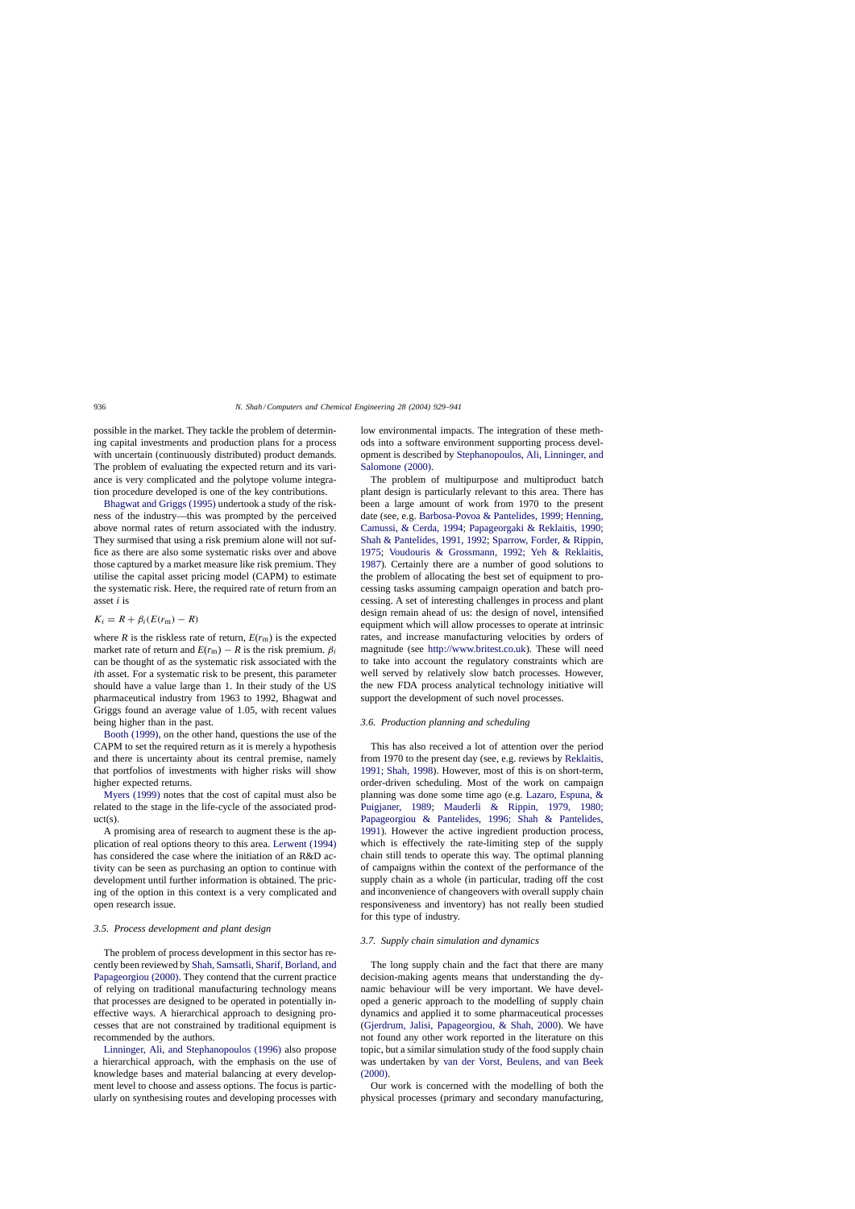possible in the market. They tackle the problem of determining capital investments and production plans for a process with uncertain (continuously distributed) product demands. The problem of evaluating the expected return and its variance is very complicated and the polytope volume integration procedure developed is one of the key contributions.

[Bhagwat and Griggs \(1995\)](#page-11-0) undertook a study of the riskness of the industry—this was prompted by the perceived above normal rates of return associated with the industry. They surmised that using a risk premium alone will not suffice as there are also some systematic risks over and above those captured by a market measure like risk premium. They utilise the capital asset pricing model (CAPM) to estimate the systematic risk. Here, the required rate of return from an asset *i* is

$$
K_i = R + \beta_i (E(r_m) - R)
$$

where *R* is the riskless rate of return,  $E(r_m)$  is the expected market rate of return and  $E(r_m) - R$  is the risk premium.  $\beta_i$ can be thought of as the systematic risk associated with the *i*th asset. For a systematic risk to be present, this parameter should have a value large than 1. In their study of the US pharmaceutical industry from 1963 to 1992, Bhagwat and Griggs found an average value of 1.05, with recent values being higher than in the past.

[Booth \(1999\),](#page-11-0) on the other hand, questions the use of the CAPM to set the required return as it is merely a hypothesis and there is uncertainty about its central premise, namely that portfolios of investments with higher risks will show higher expected returns.

[Myers \(1999\)](#page-11-0) notes that the cost of capital must also be related to the stage in the life-cycle of the associated prod $uct(s)$ .

A promising area of research to augment these is the application of real options theory to this area. [Lerwent \(1994\)](#page-11-0) has considered the case where the initiation of an R&D activity can be seen as purchasing an option to continue with development until further information is obtained. The pricing of the option in this context is a very complicated and open research issue.

## *3.5. Process development and plant design*

The problem of process development in this sector has recently been reviewed by [Shah, Samsatli, Sharif, Borland, and](#page-12-0) [Papageorgiou \(2000\). T](#page-12-0)hey contend that the current practice of relying on traditional manufacturing technology means that processes are designed to be operated in potentially ineffective ways. A hierarchical approach to designing processes that are not constrained by traditional equipment is recommended by the authors.

[Linninger, Ali, and Stephanopoulos \(1996\)](#page-11-0) also propose a hierarchical approach, with the emphasis on the use of knowledge bases and material balancing at every development level to choose and assess options. The focus is particularly on synthesising routes and developing processes with low environmental impacts. The integration of these methods into a software environment supporting process development is described by [Stephanopoulos, Ali, Linninger, and](#page-12-0) [Salomone \(2000\).](#page-12-0)

The problem of multipurpose and multiproduct batch plant design is particularly relevant to this area. There has been a large amount of work from 1970 to the present date (see, e.g. [Barbosa-Povoa & Pantelides, 1999;](#page-11-0) [Henning,](#page-11-0) [Camussi, & Cerda, 1994;](#page-11-0) [Papageorgaki & Reklaitis, 1990;](#page-11-0) [Shah & Pantelides, 1991, 1992;](#page-11-0) [Sparrow, Forder, & Rippin,](#page-12-0) [1975;](#page-12-0) [Voudouris & Grossmann, 1992; Yeh & Reklaiti](#page-12-0)s, [1987\).](#page-12-0) Certainly there are a number of good solutions to the problem of allocating the best set of equipment to processing tasks assuming campaign operation and batch processing. A set of interesting challenges in process and plant design remain ahead of us: the design of novel, intensified equipment which will allow processes to operate at intrinsic rates, and increase manufacturing velocities by orders of magnitude (see <http://www.britest.co.uk>). These will need to take into account the regulatory constraints which are well served by relatively slow batch processes. However, the new FDA process analytical technology initiative will support the development of such novel processes.

#### *3.6. Production planning and scheduling*

This has also received a lot of attention over the period from 1970 to the present day (see, e.g. reviews by [Reklaitis,](#page-12-0) [1991; Shah, 1998\).](#page-12-0) However, most of this is on short-term, order-driven scheduling. Most of the work on campaign planning was done some time ago (e.g. [Lazaro, Espuna, &](#page-11-0) [Puigjaner, 1989](#page-11-0); [Mauderli & Rippin, 1979, 1](#page-11-0)980; [Papageorgiou & Pantelides, 1996; Shah & Pantelides,](#page-11-0) 1991). However the active ingredient production process, which is effectively the rate-limiting step of the supply chain still tends to operate this way. The optimal planning of campaigns within the context of the performance of the supply chain as a whole (in particular, trading off the cost and inconvenience of changeovers with overall supply chain responsiveness and inventory) has not really been studied for this type of industry.

#### *3.7. Supply chain simulation and dynamics*

The long supply chain and the fact that there are many decision-making agents means that understanding the dynamic behaviour will be very important. We have developed a generic approach to the modelling of supply chain dynamics and applied it to some pharmaceutical processes ([Gjerdrum, Jalisi, Papageorgiou, & Shah, 2000\)](#page-11-0). We have not found any other work reported in the literature on this topic, but a similar simulation study of the food supply chain was undertaken by [van der Vorst, Beulens, and van Beek](#page-12-0) [\(2000\).](#page-12-0)

Our work is concerned with the modelling of both the physical processes (primary and secondary manufacturing,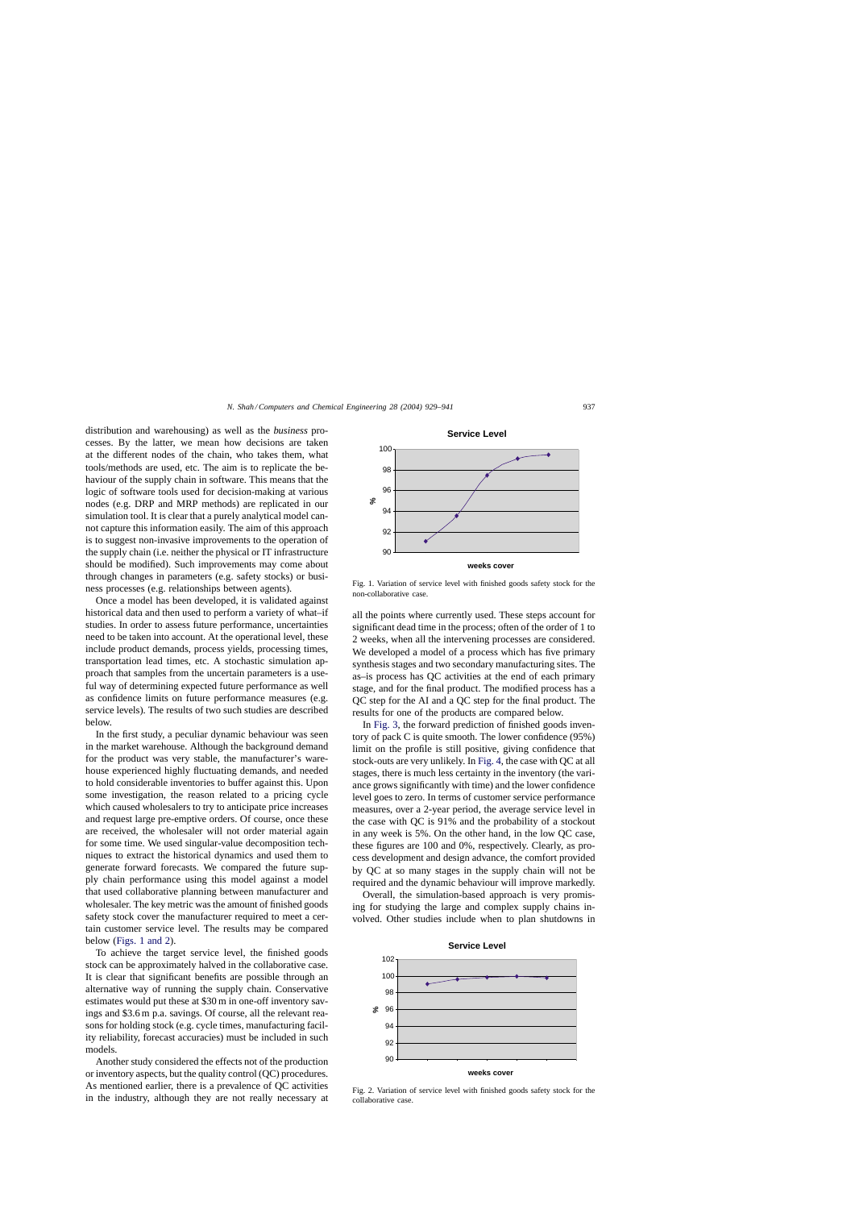distribution and warehousing) as well as the *business* processes. By the latter, we mean how decisions are taken at the different nodes of the chain, who takes them, what tools/methods are used, etc. The aim is to replicate the behaviour of the supply chain in software. This means that the logic of software tools used for decision-making at various nodes (e.g. DRP and MRP methods) are replicated in our simulation tool. It is clear that a purely analytical model cannot capture this information easily. The aim of this approach is to suggest non-invasive improvements to the operation of the supply chain (i.e. neither the physical or IT infrastructure should be modified). Such improvements may come about through changes in parameters (e.g. safety stocks) or business processes (e.g. relationships between agents).

Once a model has been developed, it is validated against historical data and then used to perform a variety of what–if studies. In order to assess future performance, uncertainties need to be taken into account. At the operational level, these include product demands, process yields, processing times, transportation lead times, etc. A stochastic simulation approach that samples from the uncertain parameters is a useful way of determining expected future performance as well as confidence limits on future performance measures (e.g. service levels). The results of two such studies are described below.

In the first study, a peculiar dynamic behaviour was seen in the market warehouse. Although the background demand for the product was very stable, the manufacturer's warehouse experienced highly fluctuating demands, and needed to hold considerable inventories to buffer against this. Upon some investigation, the reason related to a pricing cycle which caused wholesalers to try to anticipate price increases and request large pre-emptive orders. Of course, once these are received, the wholesaler will not order material again for some time. We used singular-value decomposition techniques to extract the historical dynamics and used them to generate forward forecasts. We compared the future supply chain performance using this model against a model that used collaborative planning between manufacturer and wholesaler. The key metric was the amount of finished goods safety stock cover the manufacturer required to meet a certain customer service level. The results may be compared below (Figs. 1 and 2).

To achieve the target service level, the finished goods stock can be approximately halved in the collaborative case. It is clear that significant benefits are possible through an alternative way of running the supply chain. Conservative estimates would put these at \$30 m in one-off inventory savings and \$3.6 m p.a. savings. Of course, all the relevant reasons for holding stock (e.g. cycle times, manufacturing facility reliability, forecast accuracies) must be included in such models.

Another study considered the effects not of the production or inventory aspects, but the quality control (QC) procedures. As mentioned earlier, there is a prevalence of QC activities in the industry, although they are not really necessary at



Fig. 1. Variation of service level with finished goods safety stock for the non-collaborative case.

all the points where currently used. These steps account for significant dead time in the process; often of the order of 1 to 2 weeks, when all the intervening processes are considered. We developed a model of a process which has five primary synthesis stages and two secondary manufacturing sites. The as–is process has QC activities at the end of each primary stage, and for the final product. The modified process has a QC step for the AI and a QC step for the final product. The results for one of the products are compared below.

In [Fig. 3,](#page-9-0) the forward prediction of finished goods inventory of pack C is quite smooth. The lower confidence (95%) limit on the profile is still positive, giving confidence that stock-outs are very unlikely. In [Fig. 4, t](#page-9-0)he case with QC at all stages, there is much less certainty in the inventory (the variance grows significantly with time) and the lower confidence level goes to zero. In terms of customer service performance measures, over a 2-year period, the average service level in the case with QC is 91% and the probability of a stockout in any week is 5%. On the other hand, in the low QC case, these figures are 100 and 0%, respectively. Clearly, as process development and design advance, the comfort provided by QC at so many stages in the supply chain will not be required and the dynamic behaviour will improve markedly.

Overall, the simulation-based approach is very promising for studying the large and complex supply chains involved. Other studies include when to plan shutdowns in



Fig. 2. Variation of service level with finished goods safety stock for the collaborative case.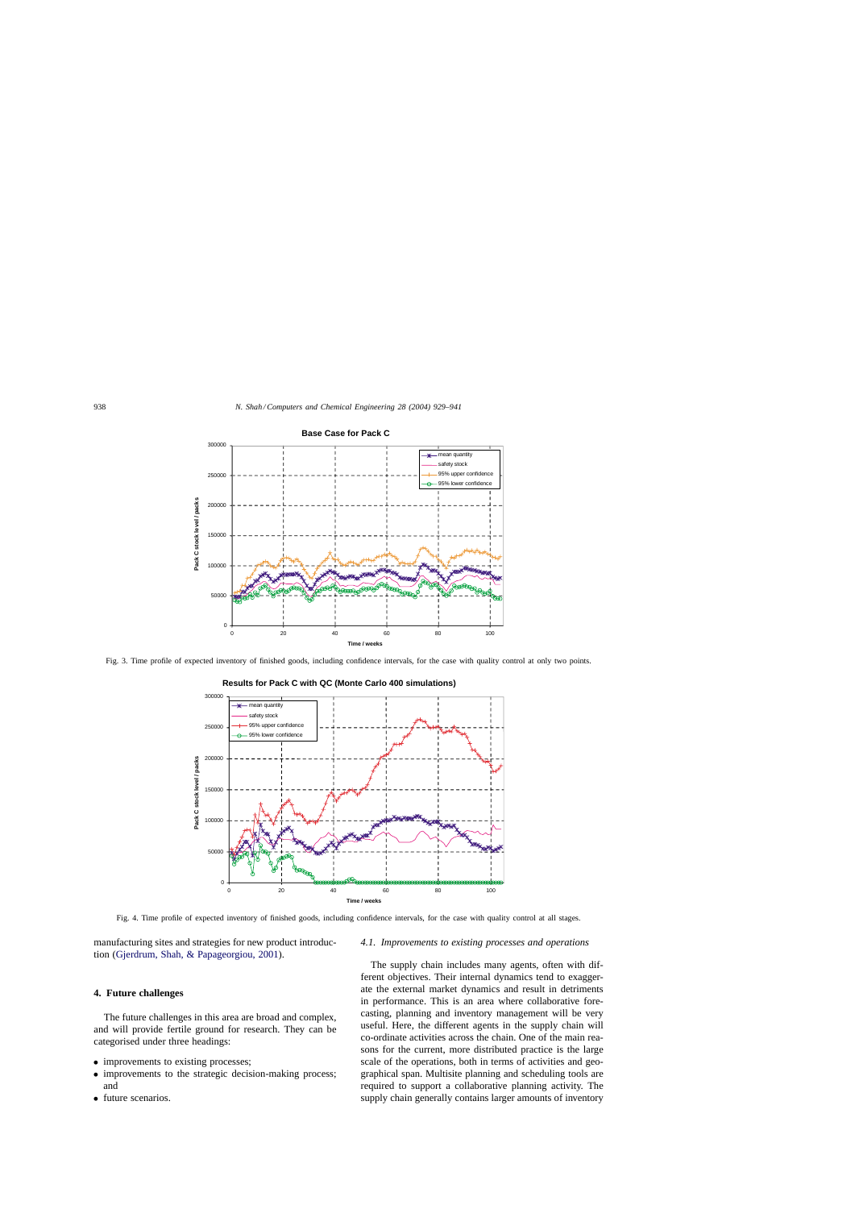<span id="page-9-0"></span>

Fig. 3. Time profile of expected inventory of finished goods, including confidence intervals, for the case with quality control at only two points.





Fig. 4. Time profile of expected inventory of finished goods, including confidence intervals, for the case with quality control at all stages.

manufacturing sites and strategies for new product introduction [\(Gjerdrum, Shah, & Papageorgiou, 2001\).](#page-11-0)

# **4. Future challenges**

The future challenges in this area are broad and complex, and will provide fertile ground for research. They can be categorised under three headings:

- improvements to existing processes;
- improvements to the strategic decision-making process; and
- future scenarios.

#### *4.1. Improvements to existing processes and operations*

The supply chain includes many agents, often with different objectives. Their internal dynamics tend to exaggerate the external market dynamics and result in detriments in performance. This is an area where collaborative forecasting, planning and inventory management will be very useful. Here, the different agents in the supply chain will co-ordinate activities across the chain. One of the main reasons for the current, more distributed practice is the large scale of the operations, both in terms of activities and geographical span. Multisite planning and scheduling tools are required to support a collaborative planning activity. The supply chain generally contains larger amounts of inventory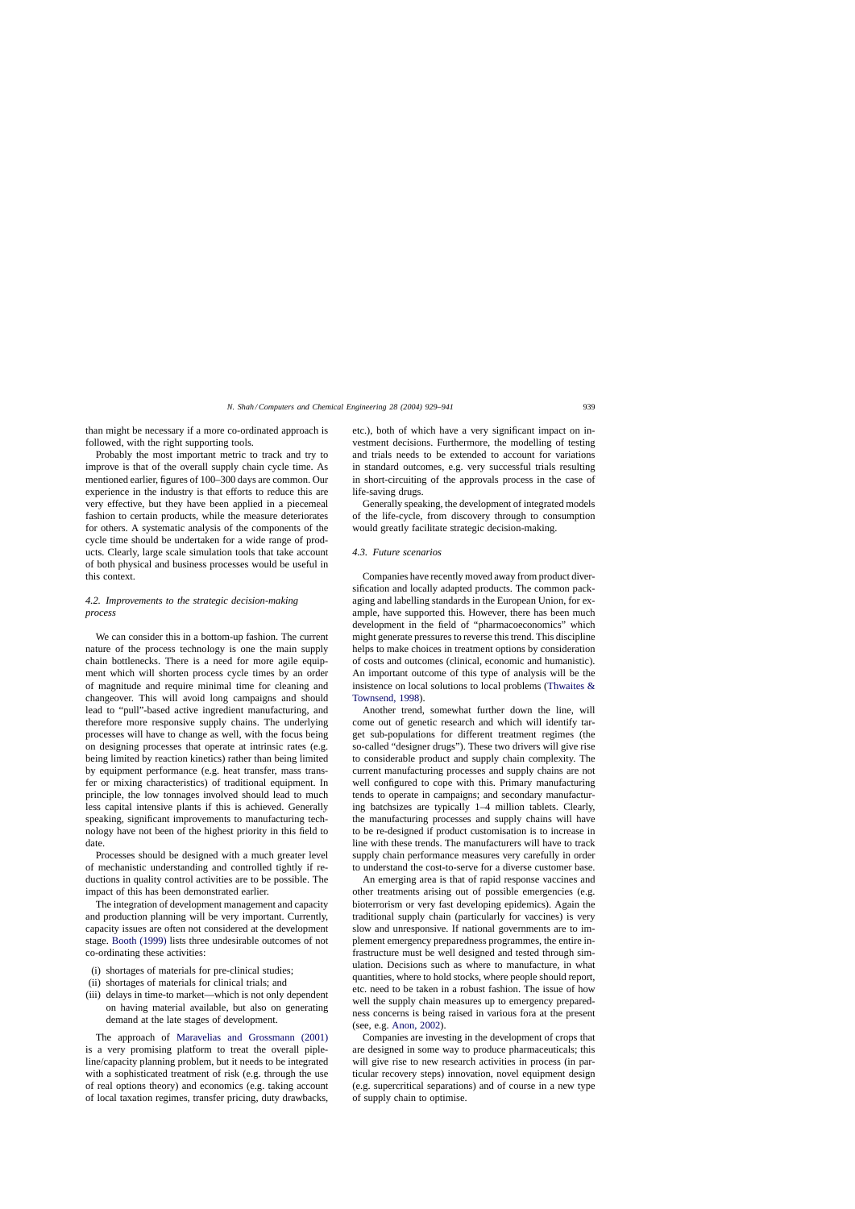than might be necessary if a more co-ordinated approach is followed, with the right supporting tools.

Probably the most important metric to track and try to improve is that of the overall supply chain cycle time. As mentioned earlier, figures of 100–300 days are common. Our experience in the industry is that efforts to reduce this are very effective, but they have been applied in a piecemeal fashion to certain products, while the measure deteriorates for others. A systematic analysis of the components of the cycle time should be undertaken for a wide range of products. Clearly, large scale simulation tools that take account of both physical and business processes would be useful in this context.

# *4.2. Improvements to the strategic decision-making process*

We can consider this in a bottom-up fashion. The current nature of the process technology is one the main supply chain bottlenecks. There is a need for more agile equipment which will shorten process cycle times by an order of magnitude and require minimal time for cleaning and changeover. This will avoid long campaigns and should lead to "pull"-based active ingredient manufacturing, and therefore more responsive supply chains. The underlying processes will have to change as well, with the focus being on designing processes that operate at intrinsic rates (e.g. being limited by reaction kinetics) rather than being limited by equipment performance (e.g. heat transfer, mass transfer or mixing characteristics) of traditional equipment. In principle, the low tonnages involved should lead to much less capital intensive plants if this is achieved. Generally speaking, significant improvements to manufacturing technology have not been of the highest priority in this field to date.

Processes should be designed with a much greater level of mechanistic understanding and controlled tightly if reductions in quality control activities are to be possible. The impact of this has been demonstrated earlier.

The integration of development management and capacity and production planning will be very important. Currently, capacity issues are often not considered at the development stage. [Booth \(1999\)](#page-11-0) lists three undesirable outcomes of not co-ordinating these activities:

- (i) shortages of materials for pre-clinical studies;
- (ii) shortages of materials for clinical trials; and
- (iii) delays in time-to market—which is not only dependent on having material available, but also on generating demand at the late stages of development.

The approach of [Maravelias and Grossmann \(2001](#page-11-0)) is a very promising platform to treat the overall pipleline/capacity planning problem, but it needs to be integrated with a sophisticated treatment of risk (e.g. through the use of real options theory) and economics (e.g. taking account of local taxation regimes, transfer pricing, duty drawbacks,

etc.), both of which have a very significant impact on investment decisions. Furthermore, the modelling of testing and trials needs to be extended to account for variations in standard outcomes, e.g. very successful trials resulting in short-circuiting of the approvals process in the case of life-saving drugs.

Generally speaking, the development of integrated models of the life-cycle, from discovery through to consumption would greatly facilitate strategic decision-making.

### *4.3. Future scenarios*

Companies have recently moved away from product diversification and locally adapted products. The common packaging and labelling standards in the European Union, for example, have supported this. However, there has been much development in the field of "pharmacoeconomics" which might generate pressures to reverse this trend. This discipline helps to make choices in treatment options by consideration of costs and outcomes (clinical, economic and humanistic). An important outcome of this type of analysis will be the insistence on local solutions to local problems [\(Thwaites &](#page-12-0) [Townsend, 1998\).](#page-12-0)

Another trend, somewhat further down the line, will come out of genetic research and which will identify target sub-populations for different treatment regimes (the so-called "designer drugs"). These two drivers will give rise to considerable product and supply chain complexity. The current manufacturing processes and supply chains are not well configured to cope with this. Primary manufacturing tends to operate in campaigns; and secondary manufacturing batchsizes are typically 1–4 million tablets. Clearly, the manufacturing processes and supply chains will have to be re-designed if product customisation is to increase in line with these trends. The manufacturers will have to track supply chain performance measures very carefully in order to understand the cost-to-serve for a diverse customer base.

An emerging area is that of rapid response vaccines and other treatments arising out of possible emergencies (e.g. bioterrorism or very fast developing epidemics). Again the traditional supply chain (particularly for vaccines) is very slow and unresponsive. If national governments are to implement emergency preparedness programmes, the entire infrastructure must be well designed and tested through simulation. Decisions such as where to manufacture, in what quantities, where to hold stocks, where people should report, etc. need to be taken in a robust fashion. The issue of how well the supply chain measures up to emergency preparedness concerns is being raised in various fora at the present (see, e.g. [Anon, 2002\).](#page-11-0)

Companies are investing in the development of crops that are designed in some way to produce pharmaceuticals; this will give rise to new research activities in process (in particular recovery steps) innovation, novel equipment design (e.g. supercritical separations) and of course in a new type of supply chain to optimise.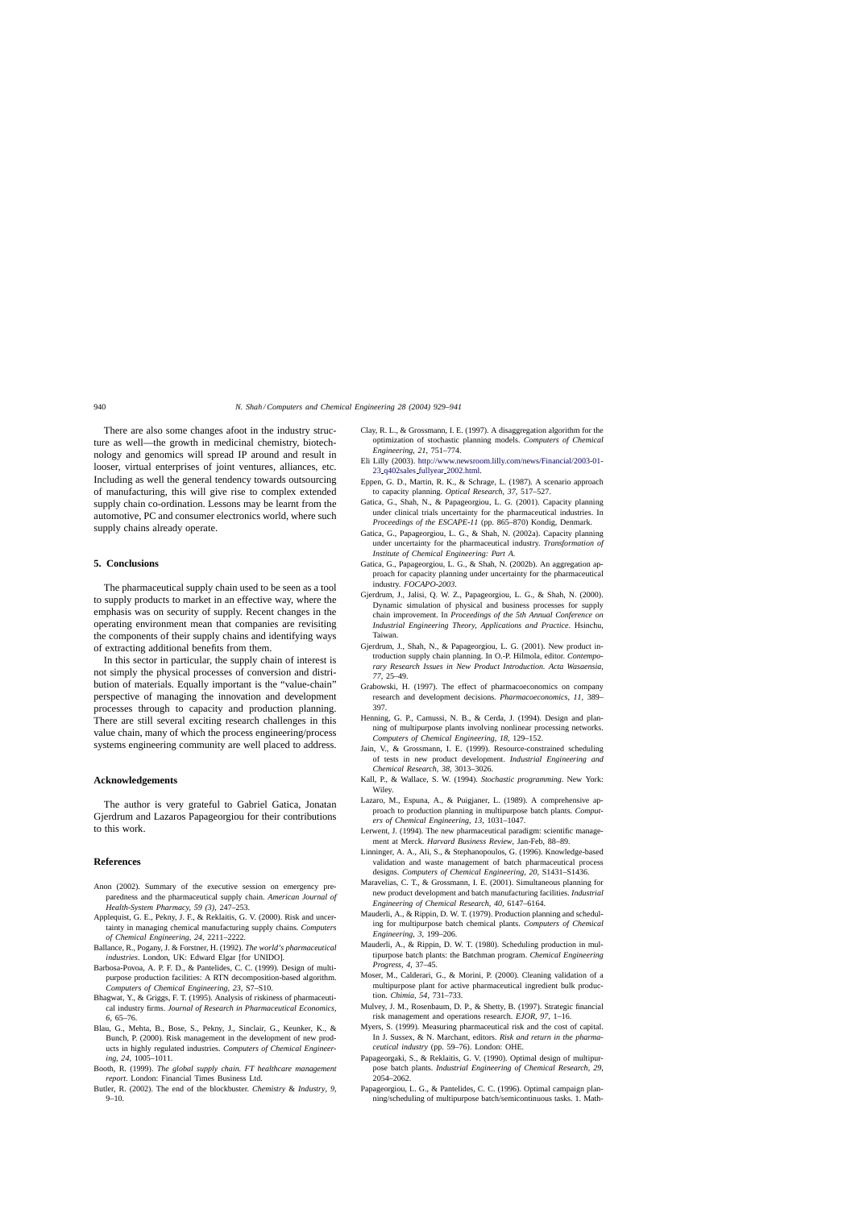<span id="page-11-0"></span>There are also some changes afoot in the industry structure as well—the growth in medicinal chemistry, biotechnology and genomics will spread IP around and result in looser, virtual enterprises of joint ventures, alliances, etc. Including as well the general tendency towards outsourcing of manufacturing, this will give rise to complex extended supply chain co-ordination. Lessons may be learnt from the automotive, PC and consumer electronics world, where such supply chains already operate.

## **5. Conclusions**

The pharmaceutical supply chain used to be seen as a tool to supply products to market in an effective way, where the emphasis was on security of supply. Recent changes in the operating environment mean that companies are revisiting the components of their supply chains and identifying ways of extracting additional benefits from them.

In this sector in particular, the supply chain of interest is not simply the physical processes of conversion and distribution of materials. Equally important is the "value-chain" perspective of managing the innovation and development processes through to capacity and production planning. There are still several exciting research challenges in this value chain, many of which the process engineering/process systems engineering community are well placed to address.

### **Acknowledgements**

The author is very grateful to Gabriel Gatica, Jonatan Gjerdrum and Lazaros Papageorgiou for their contributions to this work.

#### **References**

- Anon (2002). Summary of the executive session on emergency preparedness and the pharmaceutical supply chain. *American Journal of Health-System Pharmacy, 59 (3)*, 247–253.
- Applequist, G. E., Pekny, J. F., & Reklaitis, G. V. (2000). Risk and uncertainty in managing chemical manufacturing supply chains. *Computers of Chemical Engineering, 24*, 2211–2222.
- Ballance, R., Pogany, J. & Forstner, H. (1992). *The world's pharmaceutical industries*. London, UK: Edward Elgar [for UNIDO].
- Barbosa-Povoa, A. P. F. D., & Pantelides, C. C. (1999). Design of multipurpose production facilities: A RTN decomposition-based algorithm. *Computers of Chemical Engineering, 23*, S7–S10.
- Bhagwat, Y., & Griggs, F. T. (1995). Analysis of riskiness of pharmaceutical industry firms. *Journal of Research in Pharmaceutical Economics, 6*, 65–76.
- Blau, G., Mehta, B., Bose, S., Pekny, J., Sinclair, G., Keunker, K., & Bunch, P. (2000). Risk management in the development of new products in highly regulated industries. *Computers of Chemical Engineering, 24*, 1005–1011.
- Booth, R. (1999). *The global supply chain. FT healthcare management report*. London: Financial Times Business Ltd.
- Butler, R. (2002). The end of the blockbuster. *Chemistry* & *Industry, 9*,  $9-10.$
- Clay, R. L., & Grossmann, I. E. (1997). A disaggregation algorithm for the optimization of stochastic planning models. *Computers of Chemical Engineering, 21*, 751–774.
- Eli Lilly (2003). [http://www.newsroom.lilly.com/news/Financial/2003-01-](http://www.newsroom.lilly.com/news/Financial/2003-01-23_q402sales_fullyear_2002.html) 23 q402sales fullyear 2002.html.
- Eppen, G. D., Martin, R. K., & Schrage, L. (1987). A scenario approach to capacity planning. *Optical Research, 37*, 517–527.
- Gatica, G., Shah, N., & Papageorgiou, L. G. (2001). Capacity planning under clinical trials uncertainty for the pharmaceutical industries. In *Proceedings of the ESCAPE-11* (pp. 865–870) Kondig, Denmark.
- Gatica, G., Papageorgiou, L. G., & Shah, N. (2002a). Capacity planning under uncertainty for the pharmaceutical industry. *Transformation of Institute of Chemical Engineering: Part A*.
- Gatica, G., Papageorgiou, L. G., & Shah, N. (2002b). An aggregation approach for capacity planning under uncertainty for the pharmaceutical industry. *FOCAPO-2003*.
- Gjerdrum, J., Jalisi, Q. W. Z., Papageorgiou, L. G., & Shah, N. (2000). Dynamic simulation of physical and business processes for supply chain improvement. In *Proceedings of the 5th Annual Conference on Industrial Engineering Theory, Applications and Practice*. Hsinchu, Taiwan.
- Gjerdrum, J., Shah, N., & Papageorgiou, L. G. (2001). New product introduction supply chain planning. In O.-P. Hilmola, editor. *Contemporary Research Issues in New Product Introduction. Acta Wasaensia, 77*, 25–49.
- Grabowski, H. (1997). The effect of pharmacoeconomics on company research and development decisions. *Pharmacoeconomics, 11*, 389– 397.
- Henning, G. P., Camussi, N. B., & Cerda, J. (1994). Design and planning of multipurpose plants involving nonlinear processing networks. *Computers of Chemical Engineering, 18*, 129–152.
- Jain, V., & Grossmann, I. E. (1999). Resource-constrained scheduling of tests in new product development. *Industrial Engineering and Chemical Research, 38*, 3013–3026.
- Kall, P., & Wallace, S. W. (1994). *Stochastic programming*. New York: Wiley.
- Lazaro, M., Espuna, A., & Puigjaner, L. (1989). A comprehensive approach to production planning in multipurpose batch plants. *Computers of Chemical Engineering, 13*, 1031–1047.
- Lerwent, J. (1994). The new pharmaceutical paradigm: scientific management at Merck. *Harvard Business Review*, Jan-Feb, 88–89.
- Linninger, A. A., Ali, S., & Stephanopoulos, G. (1996). Knowledge-based validation and waste management of batch pharmaceutical process designs. *Computers of Chemical Engineering, 20*, S1431–S1436.
- Maravelias, C. T., & Grossmann, I. E. (2001). Simultaneous planning for new product development and batch manufacturing facilities. *Industrial Engineering of Chemical Research, 40*, 6147–6164.
- Mauderli, A., & Rippin, D. W. T. (1979). Production planning and scheduling for multipurpose batch chemical plants. *Computers of Chemical Engineering, 3*, 199–206.
- Mauderli, A., & Rippin, D. W. T. (1980). Scheduling production in multipurpose batch plants: the Batchman program. *Chemical Engineering Progress, 4*, 37–45.
- Moser, M., Calderari, G., & Morini, P. (2000). Cleaning validation of a multipurpose plant for active pharmaceutical ingredient bulk production. *Chimia, 54*, 731–733.
- Mulvey, J. M., Rosenbaum, D. P., & Shetty, B. (1997). Strategic financial risk management and operations research. *EJOR, 97*, 1–16.
- Myers, S. (1999). Measuring pharmaceutical risk and the cost of capital. In J. Sussex, & N. Marchant, editors. *Risk and return in the pharmaceutical industry* (pp. 59–76). London: OHE.
- Papageorgaki, S., & Reklaitis, G. V. (1990). Optimal design of multipurpose batch plants. *Industrial Engineering of Chemical Research, 29*, 2054–2062.
- Papageorgiou, L. G., & Pantelides, C. C. (1996). Optimal campaign planning/scheduling of multipurpose batch/semicontinuous tasks. 1. Math-